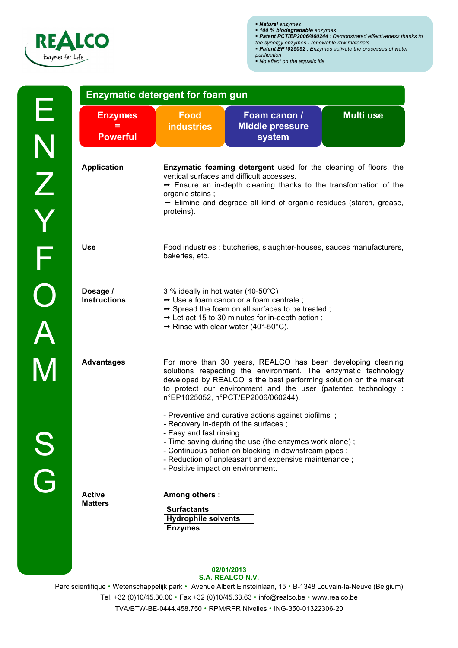

**Enzymatic detergent for foam gun**

|  |  |  |  | • Natural enzymes |  |  |  |
|--|--|--|--|-------------------|--|--|--|
|  |  |  |  |                   |  |  |  |

- ! *Natural enzymes* ! *100 % biodegradable enzymes*
- ! *Patent PCT/EP2006/060244 : Demonstrated effectiveness thanks to the synergy enzymes - renewable raw materials*
- ! *Patent EP1025052 : Enzymes activate the processes of water*
- *purification*

! *No effect on the aquatic life*

| <b>Enzymes</b><br><b>Powerful</b>                                                                                                                                                                                                                                                                              | <b>Food</b><br><b>industries</b>                                                                                                                                                                                                                                                                                   | Foam canon /<br><b>Middle pressure</b><br>system                                                                                                                                                                                                                                                           | <b>Multi use</b> |  |  |  |
|----------------------------------------------------------------------------------------------------------------------------------------------------------------------------------------------------------------------------------------------------------------------------------------------------------------|--------------------------------------------------------------------------------------------------------------------------------------------------------------------------------------------------------------------------------------------------------------------------------------------------------------------|------------------------------------------------------------------------------------------------------------------------------------------------------------------------------------------------------------------------------------------------------------------------------------------------------------|------------------|--|--|--|
| <b>Application</b>                                                                                                                                                                                                                                                                                             | Enzymatic foaming detergent used for the cleaning of floors, the<br>vertical surfaces and difficult accesses.<br>$\rightarrow$ Ensure an in-depth cleaning thanks to the transformation of the<br>organic stains;<br>$\rightarrow$ Elimine and degrade all kind of organic residues (starch, grease,<br>proteins). |                                                                                                                                                                                                                                                                                                            |                  |  |  |  |
| <b>Use</b><br>Food industries : butcheries, slaughter-houses, sauces manufacturers,<br>bakeries, etc.                                                                                                                                                                                                          |                                                                                                                                                                                                                                                                                                                    |                                                                                                                                                                                                                                                                                                            |                  |  |  |  |
| Dosage /<br>3 % ideally in hot water (40-50°C)<br><b>Instructions</b><br>$\rightarrow$ Use a foam canon or a foam centrale;<br>$\rightarrow$ Spread the foam on all surfaces to be treated;<br>$\rightarrow$ Let act 15 to 30 minutes for in-depth action;<br>$\rightarrow$ Rinse with clear water (40°-50°C). |                                                                                                                                                                                                                                                                                                                    |                                                                                                                                                                                                                                                                                                            |                  |  |  |  |
| <b>Advantages</b>                                                                                                                                                                                                                                                                                              |                                                                                                                                                                                                                                                                                                                    | For more than 30 years, REALCO has been developing cleaning<br>solutions respecting the environment. The enzymatic technology<br>developed by REALCO is the best performing solution on the market<br>to protect our environment and the user (patented technology :<br>n°EP1025052, n°PCT/EP2006/060244). |                  |  |  |  |
|                                                                                                                                                                                                                                                                                                                | - Easy and fast rinsing;<br>- Positive impact on environment.                                                                                                                                                                                                                                                      | - Preventive and curative actions against biofilms;<br>- Recovery in-depth of the surfaces;<br>- Time saving during the use (the enzymes work alone);<br>- Continuous action on blocking in downstream pipes;<br>- Reduction of unpleasant and expensive maintenance;                                      |                  |  |  |  |
| <b>Active</b><br><b>Matters</b>                                                                                                                                                                                                                                                                                | Among others :<br><b>Surfactants</b><br><b>Hydrophile solvents</b><br><b>Enzymes</b>                                                                                                                                                                                                                               |                                                                                                                                                                                                                                                                                                            |                  |  |  |  |

## **02/01/2013 S.A. REALCO N.V.**

Parc scientifique • Wetenschappelijk park • Avenue Albert Einsteinlaan, 15 • B-1348 Louvain-la-Neuve (Belgium) Tel. +32 (0)10/45.30.00 • Fax +32 (0)10/45.63.63 • info@realco.be • www.realco.be TVA/BTW-BE-0444.458.750 · RPM/RPR Nivelles · ING-350-01322306-20